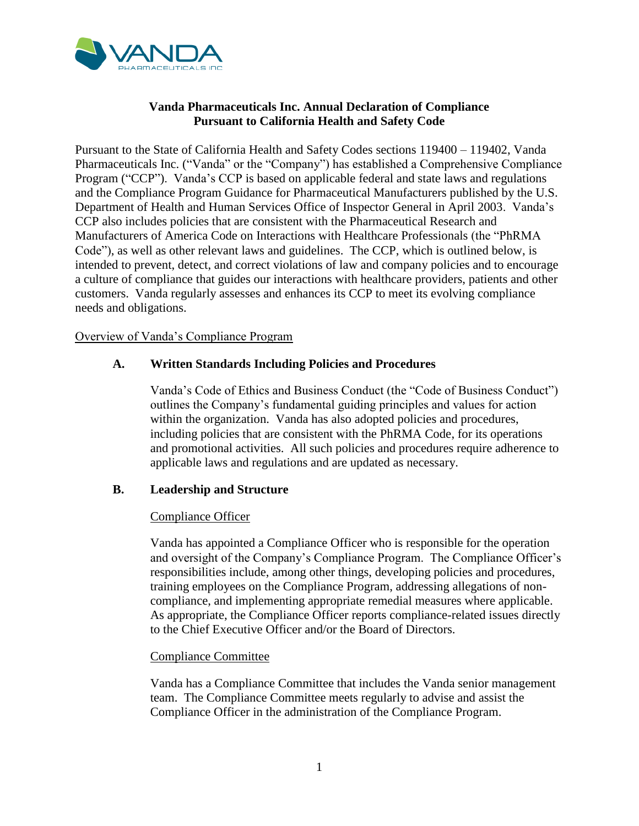

## **Vanda Pharmaceuticals Inc. Annual Declaration of Compliance Pursuant to California Health and Safety Code**

Pursuant to the State of California Health and Safety Codes sections 119400 – 119402, Vanda Pharmaceuticals Inc. ("Vanda" or the "Company") has established a Comprehensive Compliance Program ("CCP"). Vanda's CCP is based on applicable federal and state laws and regulations and the Compliance Program Guidance for Pharmaceutical Manufacturers published by the U.S. Department of Health and Human Services Office of Inspector General in April 2003. Vanda's CCP also includes policies that are consistent with the Pharmaceutical Research and Manufacturers of America Code on Interactions with Healthcare Professionals (the "PhRMA Code"), as well as other relevant laws and guidelines. The CCP, which is outlined below, is intended to prevent, detect, and correct violations of law and company policies and to encourage a culture of compliance that guides our interactions with healthcare providers, patients and other customers. Vanda regularly assesses and enhances its CCP to meet its evolving compliance needs and obligations.

Overview of Vanda's Compliance Program

### **A. Written Standards Including Policies and Procedures**

Vanda's Code of Ethics and Business Conduct (the "Code of Business Conduct") outlines the Company's fundamental guiding principles and values for action within the organization. Vanda has also adopted policies and procedures, including policies that are consistent with the PhRMA Code, for its operations and promotional activities. All such policies and procedures require adherence to applicable laws and regulations and are updated as necessary.

### **B. Leadership and Structure**

### Compliance Officer

Vanda has appointed a Compliance Officer who is responsible for the operation and oversight of the Company's Compliance Program. The Compliance Officer's responsibilities include, among other things, developing policies and procedures, training employees on the Compliance Program, addressing allegations of noncompliance, and implementing appropriate remedial measures where applicable. As appropriate, the Compliance Officer reports compliance-related issues directly to the Chief Executive Officer and/or the Board of Directors.

### Compliance Committee

Vanda has a Compliance Committee that includes the Vanda senior management team. The Compliance Committee meets regularly to advise and assist the Compliance Officer in the administration of the Compliance Program.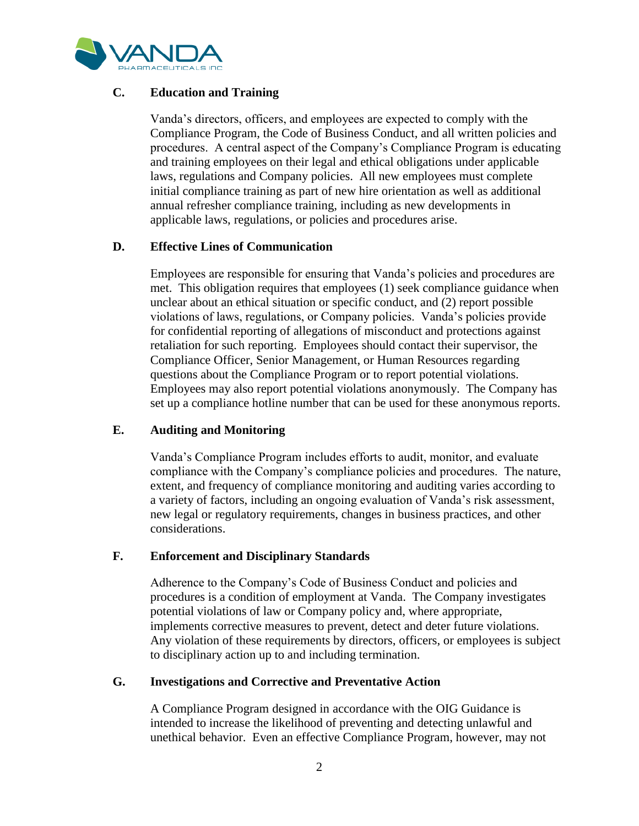

# **C. Education and Training**

Vanda's directors, officers, and employees are expected to comply with the Compliance Program, the Code of Business Conduct, and all written policies and procedures. A central aspect of the Company's Compliance Program is educating and training employees on their legal and ethical obligations under applicable laws, regulations and Company policies. All new employees must complete initial compliance training as part of new hire orientation as well as additional annual refresher compliance training, including as new developments in applicable laws, regulations, or policies and procedures arise.

## **D. Effective Lines of Communication**

Employees are responsible for ensuring that Vanda's policies and procedures are met. This obligation requires that employees (1) seek compliance guidance when unclear about an ethical situation or specific conduct, and (2) report possible violations of laws, regulations, or Company policies. Vanda's policies provide for confidential reporting of allegations of misconduct and protections against retaliation for such reporting. Employees should contact their supervisor, the Compliance Officer, Senior Management, or Human Resources regarding questions about the Compliance Program or to report potential violations. Employees may also report potential violations anonymously. The Company has set up a compliance hotline number that can be used for these anonymous reports.

### **E. Auditing and Monitoring**

Vanda's Compliance Program includes efforts to audit, monitor, and evaluate compliance with the Company's compliance policies and procedures. The nature, extent, and frequency of compliance monitoring and auditing varies according to a variety of factors, including an ongoing evaluation of Vanda's risk assessment, new legal or regulatory requirements, changes in business practices, and other considerations.

### **F. Enforcement and Disciplinary Standards**

Adherence to the Company's Code of Business Conduct and policies and procedures is a condition of employment at Vanda. The Company investigates potential violations of law or Company policy and, where appropriate, implements corrective measures to prevent, detect and deter future violations. Any violation of these requirements by directors, officers, or employees is subject to disciplinary action up to and including termination.

### **G. Investigations and Corrective and Preventative Action**

A Compliance Program designed in accordance with the OIG Guidance is intended to increase the likelihood of preventing and detecting unlawful and unethical behavior. Even an effective Compliance Program, however, may not